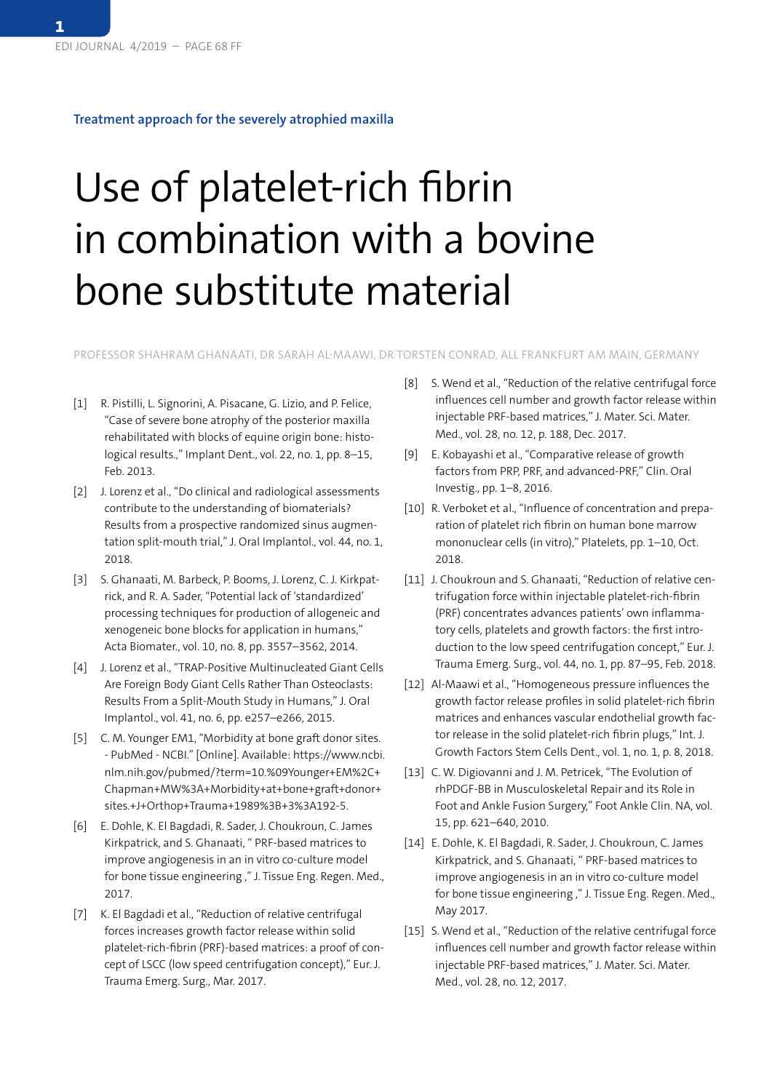**1**

## **Treatment approach for the severely atrophied maxilla**

## Use of platelet-rich fibrin in combination with a bovine bone substitute material

PROFESSOR SHAHRAM GHANAATI, DR SARAH AL-MAAWI, DR TORSTEN CONRAD, ALL FRANKFURT AM MAIN, GERMANY

- [1] R. Pistilli, L. Signorini, A. Pisacane, G. Lizio, and P. Felice, "Case of severe bone atrophy of the posterior maxilla rehabilitated with blocks of equine origin bone: histological results.," Implant Dent., vol. 22, no. 1, pp. 8–15, Feb. 2013.
- [2] J. Lorenz et al., "Do clinical and radiological assessments contribute to the understanding of biomaterials? Results from a prospective randomized sinus augmentation split-mouth trial," J. Oral Implantol., vol. 44, no. 1, 2018.
- [3] S. Ghanaati, M. Barbeck, P. Booms, J. Lorenz, C. J. Kirkpatrick, and R. A. Sader, "Potential lack of 'standardized' processing techniques for production of allogeneic and xenogeneic bone blocks for application in humans," Acta Biomater., vol. 10, no. 8, pp. 3557–3562, 2014.
- [4] J. Lorenz et al., "TRAP-Positive Multinucleated Giant Cells Are Foreign Body Giant Cells Rather Than Osteoclasts: Results From a Split-Mouth Study in Humans," J. Oral Implantol., vol. 41, no. 6, pp. e257–e266, 2015.
- [5] C. M. Younger EM1, "Morbidity at bone graft donor sites. - PubMed - NCBI." [Online]. Available: https://www.ncbi. nlm.nih.gov/pubmed/?term=10.%09Younger+EM%2C+ Chapman+MW%3A+Morbidity+at+bone+graft+donor+ sites.+J+Orthop+Trauma+1989%3B+3%3A192-5.
- [6] E. Dohle, K. El Bagdadi, R. Sader, J. Choukroun, C. James Kirkpatrick, and S. Ghanaati, " PRF-based matrices to improve angiogenesis in an in vitro co-culture model for bone tissue engineering ," J. Tissue Eng. Regen. Med., 2017.
- [7] K. El Bagdadi et al., "Reduction of relative centrifugal forces increases growth factor release within solid platelet-rich-fibrin (PRF)-based matrices: a proof of concept of LSCC (low speed centrifugation concept)," Eur. J. Trauma Emerg. Surg., Mar. 2017.
- [8] S. Wend et al., "Reduction of the relative centrifugal force influences cell number and growth factor release within injectable PRF-based matrices," J. Mater. Sci. Mater. Med., vol. 28, no. 12, p. 188, Dec. 2017.
- [9] E. Kobayashi et al., "Comparative release of growth factors from PRP, PRF, and advanced-PRF," Clin. Oral Investig., pp. 1–8, 2016.
- [10] R. Verboket et al., "Influence of concentration and preparation of platelet rich fibrin on human bone marrow mononuclear cells (in vitro)," Platelets, pp. 1–10, Oct. 2018.
- [11] J. Choukroun and S. Ghanaati, "Reduction of relative centrifugation force within injectable platelet-rich-fibrin (PRF) concentrates advances patients' own inflammatory cells, platelets and growth factors: the first introduction to the low speed centrifugation concept," Eur. J. Trauma Emerg. Surg., vol. 44, no. 1, pp. 87–95, Feb. 2018.
- [12] Al-Maawi et al., "Homogeneous pressure influences the growth factor release profiles in solid platelet-rich fibrin matrices and enhances vascular endothelial growth factor release in the solid platelet-rich fibrin plugs," Int. J. Growth Factors Stem Cells Dent., vol. 1, no. 1, p. 8, 2018.
- [13] C. W. Digiovanni and J. M. Petricek, "The Evolution of rhPDGF-BB in Musculoskeletal Repair and its Role in Foot and Ankle Fusion Surgery," Foot Ankle Clin. NA, vol. 15, pp. 621–640, 2010.
- [14] E. Dohle, K. El Bagdadi, R. Sader, J. Choukroun, C. James Kirkpatrick, and S. Ghanaati, " PRF-based matrices to improve angiogenesis in an in vitro co-culture model for bone tissue engineering ," J. Tissue Eng. Regen. Med., May 2017.
- [15] S. Wend et al., "Reduction of the relative centrifugal force influences cell number and growth factor release within injectable PRF-based matrices," J. Mater. Sci. Mater. Med., vol. 28, no. 12, 2017.